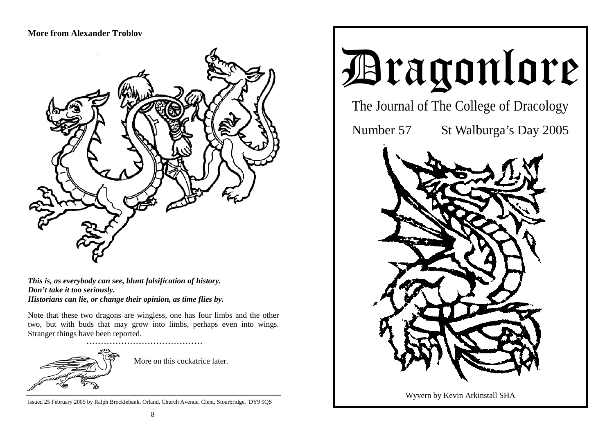## **More from Alexander Troblov**



*This is, as everybody can see, blunt falsification of history. Don't take it too seriously. Historians can lie, or change their opinion, as time flies by.* 

Note that these two dragons are wingless, one has four limbs and the other two, but with buds that may grow into limbs, perhaps even into wings. Stranger things have been reported.



More on this cockatrice later.

Issued 25 February 2005 by Ralph Brocklebank, Orland, Church Avenue, Clent, Stourbridge, DY9 9QS

# Dragonlore

The Journal of The College of Dracology

Number 57 St Walburga's Day 2005



Wyvern by Kevin Arkinstall SHA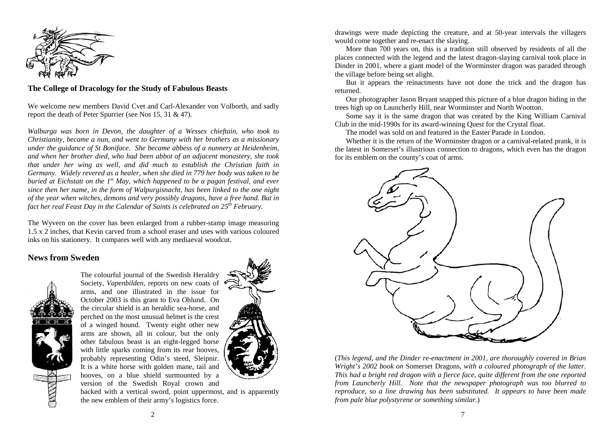

#### **The College of Dracology for the Study of Fabulous Beasts**

We welcome new members David Cvet and Carl-Alexander von Volborth, and sadly report the death of Peter Spurrier (see Nos 15, 31 & 47).

*Walburga was born in Devon, the daughter of a Wessex chieftain, who took to Christianity, became a nun, and went to Germany with her brothers as a missionary under the guidance of St Boniface. She became abbess of a nunnery at Heidenheim, and when her brother died, who had been abbot of an adjacent monastery, she took that under her wing as well, and did much to establish the Christian faith in Germany. Widely revered as a healer, when she died in 779 her body was taken to be buried at Eichstatt on the 1st May, which happened to be a pagan festival, and ever since then her name, in the form of Walpurgisnacht, has been linked to the one night of the year when witches, demons and very possibly dragons, have a free hand. But in fact her real Feast Day in the Calendar of Saints is celebrated on 25th February.* 

The Wyvern on the cover has been enlarged from a rubber-stamp image measuring 1.5 x 2 inches, that Kevin carved from a school eraser and uses with various coloured inks on his stationery. It compares well with any mediaeval woodcut.

#### **News from Sweden**



The colourful journal of the Swedish Heraldry Society, *Vapenbilden,* reports on new coats of arms, and one illustrated in the issue for October 2003 is this grant to Eva Ohlund. On the circular shield is an heraldic sea-horse, and perched on the most unusual helmet is the crest of a winged hound. Twenty eight other new arms are shown, all in colour, but the only other fabulous beast is an eight-legged horse with little sparks coming from its rear hooves, probably representing Odin's steed, Sleipnir. It is a white horse with golden mane, tail and hooves, on a blue shield surmounted by a version of the Swedish Royal crown and



backed with a vertical sword, point uppermost, and is apparently the new emblem of their army's logistics force.

drawings were made depicting the creature, and at 50-year intervals the villagers would come together and re-enact the slaying.

More than 700 years on, this is a tradition still observed by residents of all the places connected with the legend and the latest dragon-slaying carnival took place in Dinder in 2001, where a giant model of the Worminster dragon was paraded through the village before being set alight.

 But it appears the reinactments have not done the trick and the dragon has returned.

 Our photographer Jason Bryant snapped this picture of a blue dragon hiding in the trees high up on Launcherly Hill, near Worminster and North Wootton.

 Some say it is the same dragon that was created by the King William Carnival Club in the mid-1990s for its award-winning Quest for the Crystal float.

The model was sold on and featured in the Easter Parade in London.

 Whether it is the return of the Worminster dragon or a carnival-related prank, it is the latest in Somerset's illustrious connection to dragons, which even has the dragon for its emblem on the county's coat of arms.



(*This legend, and the Dinder re-enactment in 2001, are thoroughly covered in Brian Wright's 2002 book on* Somerset Dragons, *with a coloured photograph of the latter. This had a bright red dragon with a fierce face, quite different from the one reported from Launcherly Hill. Note that the newspaper photograph was too blurred to reproduce, so a line drawing has been substituted. It appears to have been made from pale blue polystyrene or something similar.*)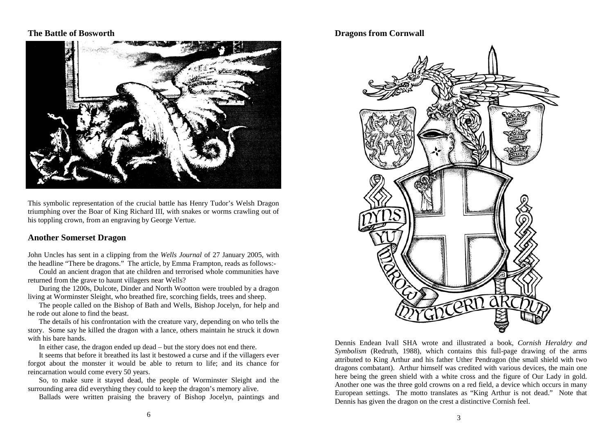## **The Battle of Bosworth**



This symbolic representation of the crucial battle has Henry Tudor's Welsh Dragon triumphing over the Boar of King Richard III, with snakes or worms crawling out of his toppling crown, from an engraving by George Vertue.

#### **Another Somerset Dragon**

John Uncles has sent in a clipping from the *Wells Journal* of 27 January 2005, with the headline "There be dragons." The article, by Emma Frampton, reads as follows:-

 Could an ancient dragon that ate children and terrorised whole communities have returned from the grave to haunt villagers near Wells?

 During the 1200s, Dulcote, Dinder and North Wootton were troubled by a dragon living at Worminster Sleight, who breathed fire, scorching fields, trees and sheep.

 The people called on the Bishop of Bath and Wells, Bishop Jocelyn, for help and he rode out alone to find the beast.

 The details of his confrontation with the creature vary, depending on who tells the story. Some say he killed the dragon with a lance, others maintain he struck it down with his bare hands.

In either case, the dragon ended up dead – but the story does not end there.

 It seems that before it breathed its last it bestowed a curse and if the villagers ever forgot about the monster it would be able to return to life; and its chance for reincarnation would come every 50 years.

 So, to make sure it stayed dead, the people of Worminster Sleight and the surrounding area did everything they could to keep the dragon's memory alive.

Ballads were written praising the bravery of Bishop Jocelyn, paintings and

## **Dragons from Cornwall**



Dennis Endean Ivall SHA wrote and illustrated a book, *Cornish Heraldry and Symbolism* (Redruth, 1988), which contains this full-page drawing of the arms attributed to King Arthur and his father Uther Pendragon (the small shield with two dragons combatant). Arthur himself was credited with various devices, the main one here being the green shield with a white cross and the figure of Our Lady in gold. Another one was the three gold crowns on a red field, a device which occurs in many European settings. The motto translates as "King Arthur is not dead." Note that Dennis has given the dragon on the crest a distinctive Cornish feel.